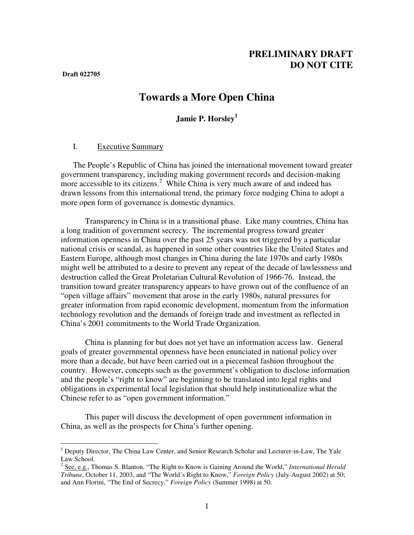**Draft 022705**

# **Towards a More Open China**

**Jamie P. Horsley 1**

## I. Executive Summary

The People's Republic of China has joined the international movement toward greater government transparency, including making government records and decision-making more accessible to its citizens.<sup>2</sup> While China is very much aware of and indeed has drawn lessons from this international trend, the primary force nudging China to adopt a more open form of governance is domestic dynamics.

Transparency in China is in a transitional phase. Like many countries, China has a long tradition of government secrecy. The incremental progress toward greater information openness in China over the past 25 years was not triggered by a particular national crisis or scandal, as happened in some other countries like the United States and Eastern Europe, although most changes in China during the late 1970s and early 1980s might well be attributed to a desire to prevent any repeat of the decade of lawlessness and destruction called the Great Proletarian Cultural Revolution of 1966-76. Instead, the transition toward greater transparency appears to have grown out of the confluence of an "open village affairs" movement that arose in the early 1980s, natural pressures for greater information from rapid economic development, momentum from the information technology revolution and the demands of foreign trade and investment as reflected in China's 2001 commitments to the World Trade Organization.

China is planning for but does not yet have an information access law. General goals of greater governmental openness have been enunciated in national policy over more than a decade, but have been carried out in a piecemeal fashion throughout the country. However, concepts such as the government's obligation to disclose information and the people's "right to know" are beginning to be translated into legal rights and obligations in experimental local legislation that should help institutionalize what the Chinese refer to as "open government information."

This paper will discuss the development of open government information in China, as well as the prospects for China's further opening.

<sup>&</sup>lt;sup>1</sup> Deputy Director, The China Law Center, and Senior Research Scholar and Lecturer-in-Law, The Yale Law School.

<sup>2</sup> See, e.g., Thomas S. Blanton, "The Right to Know is Gaining Around the World," *International Herald Tribune*, October 11, 2003, and "The World's Right to Know," *Foreign Policy* (July-August 2002) at 50; and Ann Florini, "The End of Secrecy," *Foreign Policy* (Summer 1998) at 50.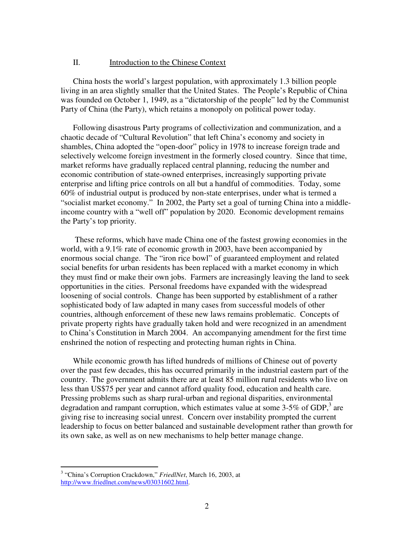#### II. Introduction to the Chinese Context

China hosts the world's largest population, with approximately 1.3 billion people living in an area slightly smaller that the United States. The People's Republic of China was founded on October 1, 1949, as a "dictatorship of the people" led by the Communist Party of China (the Party), which retains a monopoly on political power today.

Following disastrous Party programs of collectivization and communization, and a chaotic decade of "Cultural Revolution" that left China's economy and society in shambles, China adopted the "open-door" policy in 1978 to increase foreign trade and selectively welcome foreign investment in the formerly closed country. Since that time, market reforms have gradually replaced central planning, reducing the number and economic contribution of state-owned enterprises, increasingly supporting private enterprise and lifting price controls on all but a handful of commodities. Today, some 60% of industrial output is produced by non-state enterprises, under what is termed a "socialist market economy." In 2002, the Party set a goal of turning China into a middleincome country with a "well off" population by 2020. Economic development remains the Party's top priority.

These reforms, which have made China one of the fastest growing economies in the world, with a 9.1% rate of economic growth in 2003, have been accompanied by enormous social change. The "iron rice bowl" of guaranteed employment and related social benefits for urban residents has been replaced with a market economy in which they must find or make their own jobs. Farmers are increasingly leaving the land to seek opportunities in the cities. Personal freedoms have expanded with the widespread loosening of social controls. Change has been supported by establishment of a rather sophisticated body of law adapted in many cases from successful models of other countries, although enforcement of these new laws remains problematic. Concepts of private property rights have gradually taken hold and were recognized in an amendment to China's Constitution in March 2004. An accompanying amendment for the first time enshrined the notion of respecting and protecting human rights in China.

While economic growth has lifted hundreds of millions of Chinese out of poverty over the past few decades, this has occurred primarily in the industrial eastern part of the country. The government admits there are at least 85 million rural residents who live on less than US\$75 per year and cannot afford quality food, education and health care. Pressing problems such as sharp rural-urban and regional disparities, environmental degradation and rampant corruption, which estimates value at some  $3-5\%$  of GDP,<sup>3</sup> are giving rise to increasing social unrest. Concern over instability prompted the current leadership to focus on better balanced and sustainable development rather than growth for its own sake, as well as on new mechanisms to help better manage change.

<sup>3</sup> "China's Corruption Crackdown," *FriedlNet*, March 16, 2003, at http://www.friedlnet.com/news/03031602.html.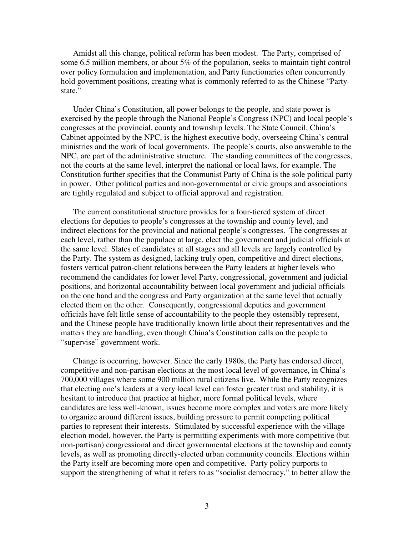Amidst all this change, political reform has been modest. The Party, comprised of some 6.5 million members, or about 5% of the population, seeks to maintain tight control over policy formulation and implementation, and Party functionaries often concurrently hold government positions, creating what is commonly referred to as the Chinese "Partystate."

Under China's Constitution, all power belongs to the people, and state power is exercised by the people through the National People's Congress (NPC) and local people's congresses at the provincial, county and township levels. The State Council, China's Cabinet appointed by the NPC, is the highest executive body, overseeing China's central ministries and the work of local governments. The people's courts, also answerable to the NPC, are part of the administrative structure. The standing committees of the congresses, not the courts at the same level, interpret the national or local laws, for example. The Constitution further specifies that the Communist Party of China is the sole political party in power. Other political parties and non-governmental or civic groups and associations are tightly regulated and subject to official approval and registration.

The current constitutional structure provides for a four-tiered system of direct elections for deputies to people's congresses at the township and county level, and indirect elections for the provincial and national people's congresses. The congresses at each level, rather than the populace at large, elect the government and judicial officials at the same level. Slates of candidates at all stages and all levels are largely controlled by the Party. The system as designed, lacking truly open, competitive and direct elections, fosters vertical patron-client relations between the Party leaders at higher levels who recommend the candidates for lower level Party, congressional, government and judicial positions, and horizontal accountability between local government and judicial officials on the one hand and the congress and Party organization at the same level that actually elected them on the other. Consequently, congressional deputies and government officials have felt little sense of accountability to the people they ostensibly represent, and the Chinese people have traditionally known little about their representatives and the matters they are handling, even though China's Constitution calls on the people to "supervise" government work.

Change is occurring, however. Since the early 1980s, the Party has endorsed direct, competitive and non-partisan elections at the most local level of governance, in China's 700,000 villages where some 900 million rural citizens live. While the Party recognizes that electing one's leaders at a very local level can foster greater trust and stability, it is hesitant to introduce that practice at higher, more formal political levels, where candidates are less well-known, issues become more complex and voters are more likely to organize around different issues, building pressure to permit competing political parties to represent their interests. Stimulated by successful experience with the village election model, however, the Party is permitting experiments with more competitive (but non-partisan) congressional and direct governmental elections at the township and county levels, as well as promoting directly-elected urban community councils. Elections within the Party itself are becoming more open and competitive. Party policy purports to support the strengthening of what it refers to as "socialist democracy," to better allow the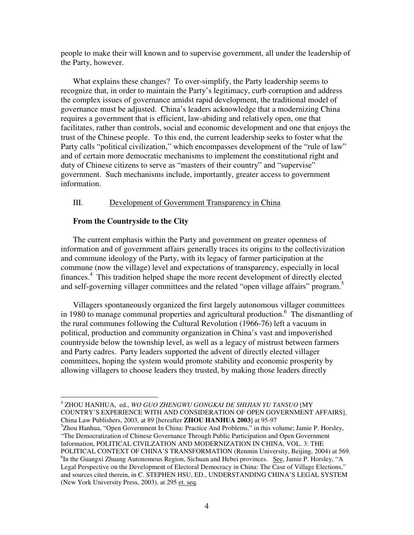people to make their will known and to supervise government, all under the leadership of the Party, however.

What explains these changes? To over-simplify, the Party leadership seems to recognize that, in order to maintain the Party's legitimacy, curb corruption and address the complex issues of governance amidst rapid development, the traditional model of governance must be adjusted. China's leaders acknowledge that a modernizing China requires a government that is efficient, law-abiding and relatively open, one that facilitates, rather than controls, social and economic development and one that enjoys the trust of the Chinese people. To this end, the current leadership seeks to foster what the Party calls "political civilization," which encompasses development of the "rule of law" and of certain more democratic mechanisms to implement the constitutional right and duty of Chinese citizens to serve as "masters of their country" and "supervise" government. Such mechanisms include, importantly, greater access to government information.

## III. Development of Government Transparency in China

# **From the Countryside to the City**

The current emphasis within the Party and government on greater openness of information and of government affairs generally traces its origins to the collectivization and commune ideology of the Party, with its legacy of farmer participation at the commune (now the village) level and expectations of transparency, especially in local finances.<sup>4</sup> This tradition helped shape the more recent development of directly elected and self-governing villager committees and the related "open village affairs" program.<sup>5</sup>

Villagers spontaneously organized the first largely autonomous villager committees in 1980 to manage communal properties and agricultural production.<sup>6</sup> The dismantling of the rural communes following the Cultural Revolution (1966-76) left a vacuum in political, production and community organization in China's vast and impoverished countryside below the township level, as well as a legacy of mistrust between farmers and Party cadres. Party leaders supported the advent of directly elected villager committees, hoping the system would promote stability and economic prosperity by allowing villagers to choose leaders they trusted, by making those leaders directly

<sup>4</sup> ZHOU HANHUA, ed., *WO GUO ZHENGWU GONGKAI DE SHIJIAN YU TANSUO* [MY COUNTRY'S EXPERIENCE WITH AND CONSIDERATION OF OPEN GOVERNMENT AFFAIRS], China Law Publishers, 2003, at 89 [hereafter **ZHOU HANHUA 2003**] at 95-97

<sup>5</sup>Zhou Hanhua, "Open Government In China: Practice And Problems," in this volume; Jamie P. Horsley, "The Democratization of Chinese Governance Through Public Participation and Open Government Information, POLITICAL CIVILZATION AND MODERNIZATION IN CHINA, VOL. 3: THE POLITICAL CONTEXT OF CHINA'S TRANSFORMATION (Renmin University, Beijing, 2004) at 569. <sup>6</sup>In the Guangxi Zhuang Autonomous Region, Sichuan and Hebei provinces. See, Jamie P. Horsley, "A Legal Perspective on the Development of Electoral Democracy in China: The Case of Village Elections," and sources cited therein, in C. STEPHEN HSU, ED., UNDERSTANDING CHINA'S LEGAL SYSTEM (New York University Press, 2003), at 295 et. seq.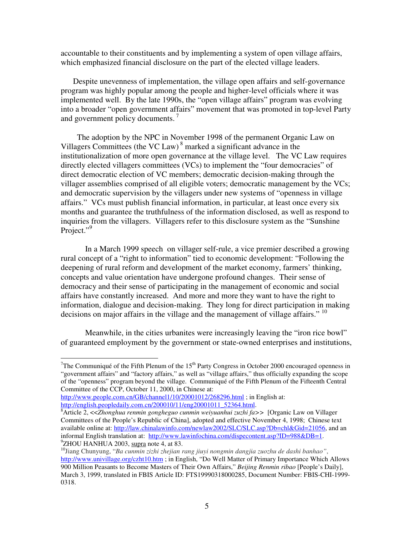accountable to their constituents and by implementing a system of open village affairs, which emphasized financial disclosure on the part of the elected village leaders.

Despite unevenness of implementation, the village open affairs and self-governance program was highly popular among the people and higher-level officials where it was implemented well. By the late 1990s, the "open village affairs" program was evolving into a broader "open government affairs" movement that was promoted in top-level Party and government policy documents.<sup>7</sup>

The adoption by the NPC in November 1998 of the permanent Organic Law on Villagers Committees (the VC Law)<sup>8</sup> marked a significant advance in the institutionalization of more open governance at the village level. The VC Law requires directly elected villagers committees (VCs) to implement the "four democracies" of direct democratic election of VC members; democratic decision-making through the villager assemblies comprised of all eligible voters; democratic management by the VCs; and democratic supervision by the villagers under new systems of "openness in village affairs." VCs must publish financial information, in particular, at least once every six months and guarantee the truthfulness of the information disclosed, as well as respond to inquiries from the villagers. Villagers refer to this disclosure system as the "Sunshine Project."<sup>9</sup>

In a March 1999 speech on villager self-rule, a vice premier described a growing rural concept of a "right to information" tied to economic development: "Following the deepening of rural reform and development of the market economy, farmers' thinking, concepts and value orientation have undergone profound changes. Their sense of democracy and their sense of participating in the management of economic and social affairs have constantly increased. And more and more they want to have the right to information, dialogue and decision-making. They long for direct participation in making decisions on major affairs in the village and the management of village affairs." <sup>10</sup>

Meanwhile, in the cities urbanites were increasingly leaving the "iron rice bowl" of guaranteed employment by the government or state-owned enterprises and institutions,

<sup>&</sup>lt;sup>7</sup>The Communiqué of the Fifth Plenum of the  $15<sup>th</sup>$  Party Congress in October 2000 encouraged openness in "government affairs" and "factory affairs," as well as "village affairs," thus officially expanding the scope of the "openness" program beyond the village. Communiqué of the Fifth Plenum of the Fifteenth Central Committee of the CCP, October 11, 2000, in Chinese at:

http://www.people.com.cn/GB/channel1/10/20001012/268296.html; in English at: http://english.peopledaily.com.cn/200010/11/eng20001011\_52364.html.

<sup>8</sup>Article 2, <<*Zhonghua renmin gongheguo cunmin weiyuanhui zuzhi fa>>* [Organic Law on Villager Committees of the People's Republic of China], adopted and effective November 4, 1998; Chinese text available online at: http://law.chinalawinfo.com/newlaw2002/SLC/SLC.asp?Db=chl&Gid=21056, and an informal English translation at: http://www.lawinfochina.com/dispecontent.asp?ID=988&DB=1.  $\rm{PZHOU}$  HANHUA 2003, supra note 4, at 83.

<sup>10</sup> Jiang Chunyung, "*Ba cunmin zizhi zhejian rang jiuyi nongmin dangjia zuozhu de dashi banhao"*, http://www.univillage.org/czht10.htm ; in English, "Do Well Matter of Primary Importance Which Allows 900 Million Peasants to Become Masters of Their Own Affairs," *Beijing Renmin ribao* [People's Daily], March 3, 1999, translated in FBIS Article ID: FTS19990318000285, Document Number: FBIS-CHI-1999- 0318.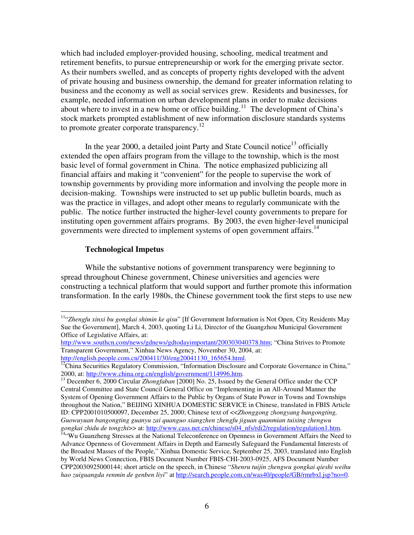which had included employer-provided housing, schooling, medical treatment and retirement benefits, to pursue entrepreneurship or work for the emerging private sector. As their numbers swelled, and as concepts of property rights developed with the advent of private housing and business ownership, the demand for greater information relating to business and the economy as well as social services grew. Residents and businesses, for example, needed information on urban development plans in order to make decisions about where to invest in a new home or office building.<sup>11</sup> The development of China's stock markets prompted establishment of new information disclosure standards systems to promote greater corporate transparency.<sup>12</sup>

In the year 2000, a detailed joint Party and State Council notice<sup>13</sup> officially extended the open affairs program from the village to the township, which is the most basic level of formal government in China. The notice emphasized publicizing all financial affairs and making it "convenient" for the people to supervise the work of township governments by providing more information and involving the people more in decision-making. Townships were instructed to set up public bulletin boards, much as was the practice in villages, and adopt other means to regularly communicate with the public. The notice further instructed the higher-level county governments to prepare for instituting open government affairs programs. By 2003, the even higher-level municipal governments were directed to implement systems of open government affairs.<sup>14</sup>

## **Technological Impetus**

While the substantive notions of government transparency were beginning to spread throughout Chinese government, Chinese universities and agencies were constructing a technical platform that would support and further promote this information transformation. In the early 1980s, the Chinese government took the first steps to use new

<sup>11</sup> "*Zhengfu xinxi bu gongkai shimin ke qisu*" [If Government Information is Not Open, City Residents May Sue the Government], March 4, 2003, quoting Li Li, Director of the Guangzhou Municipal Government Office of Legislative Affairs, at:

http://www.southcn.com/news/gdnews/gdtodayimportant/200303040378.htm; "China Strives to Promote Transparent Government," Xinhua News Agency, November 30, 2004, at:

http://english.people.com.cn/200411/30/eng20041130\_165654.html.

<sup>&</sup>lt;sup>12</sup>China Securities Regulatory Commission, "Information Disclosure and Corporate Governance in China," 2000, at: http://www.china.org.cn/english/government/114996.htm.

<sup>&</sup>lt;sup>13</sup> December 6, 2000 Circular *Zhongfaban* [2000] No. 25, Issued by the General Office under the CCP Central Committee and State Council General Office on "Implementing in an All-Around Manner the System of Opening Government Affairs to the Public by Organs of State Power in Towns and Townships throughout the Nation," BEIJING XINHUA DOMESTIC SERVICE in Chinese, translated in FBIS Article ID: CPP2001010500097, December 25, 2000; Chinese text of <<*Zhonggong zhongyang bangongting, Guowuyuan bangongting guanyu zai quanguo xiangzhen zhengfu jiguan quanmian tuixing zhengwu* g*ongkai zhidu de tongzhi*>> at: <u>http://www.cass.net.cn/chinese/s04\_nfs/rdi2/regulation/regulation1.htm</u>.<br><sup>14</sup>"Wu Guanzheng Stresses at the National Teleconference on Openness in Government Affairs the Need to

Advance Openness of Government Affairs in Depth and Earnestly Safeguard the Fundamental Interests of the Broadest Masses of the People," Xinhua Domestic Service, September 25, 2003, translated into English by World News Connection, FBIS Document Number FBIS-CHI-2003-0925, AFS Document Number CPP20030925000144; short article on the speech, in Chinese "*Shenru tuijin zhengwu gongkai qieshi weihu hao zuiguangda renmin de genben liyi*" at http://search.people.com.cn/was40/people/GB/rmrbxl.jsp?no=0.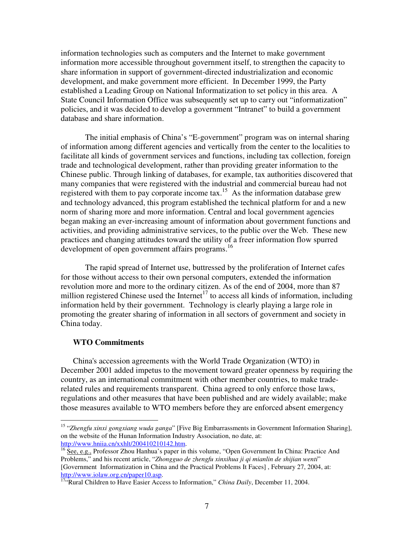information technologies such as computers and the Internet to make government information more accessible throughout government itself, to strengthen the capacity to share information in support of government-directed industrialization and economic development, and make government more efficient. In December 1999, the Party established a Leading Group on National Informatization to set policy in this area. A State Council Information Office was subsequently set up to carry out "informatization" policies, and it was decided to develop a government "Intranet" to build a government database and share information.

The initial emphasis of China's "E-government" program was on internal sharing of information among different agencies and vertically from the center to the localities to facilitate all kinds of government services and functions, including tax collection, foreign trade and technological development, rather than providing greater information to the Chinese public. Through linking of databases, for example, tax authorities discovered that many companies that were registered with the industrial and commercial bureau had not registered with them to pay corporate income tax.<sup>15</sup> As the information database grew and technology advanced, this program established the technical platform for and a new norm of sharing more and more information. Central and local government agencies began making an ever-increasing amount of information about government functions and activities, and providing administrative services, to the public over the Web. These new practices and changing attitudes toward the utility of a freer information flow spurred development of open government affairs programs.<sup>16</sup>

The rapid spread of Internet use, buttressed by the proliferation of Internet cafes for those without access to their own personal computers, extended the information revolution more and more to the ordinary citizen. As of the end of 2004, more than 87 million registered Chinese used the Internet<sup>17</sup> to access all kinds of information, including information held by their government. Technology is clearly playing a large role in promoting the greater sharing of information in all sectors of government and society in China today.

#### **WTO Commitments**

China's accession agreements with the World Trade Organization (WTO) in December 2001 added impetus to the movement toward greater openness by requiring the country, as an international commitment with other member countries, to make traderelated rules and requirements transparent. China agreed to only enforce those laws, regulations and other measures that have been published and are widely available; make those measures available to WTO members before they are enforced absent emergency

<sup>15</sup> "*Zhengfu xinxi gongxiang wuda ganga*" [Five Big Embarrassments in Government Information Sharing], on the website of the Hunan Information Industry Association, no date, at: http://www.hniia.cn/xxhlt/200410210142.htm.

<sup>&</sup>lt;sup>16</sup> See, e.g., Professor Zhou Hanhua's paper in this volume, "Open Government In China: Practice And Problems," and his recent article, "*Zhongguo de zhengfu xinxihua ji qi mianlin de shijian wenti*" [Government Informatization in China and the Practical Problems It Faces] , February 27, 2004, at: http://www.iolaw.org.cn/paper10.asp.

<sup>&</sup>lt;sup>17</sup><sup>4</sup>Rural Children to Have Easier Access to Information," *China Daily*, December 11, 2004.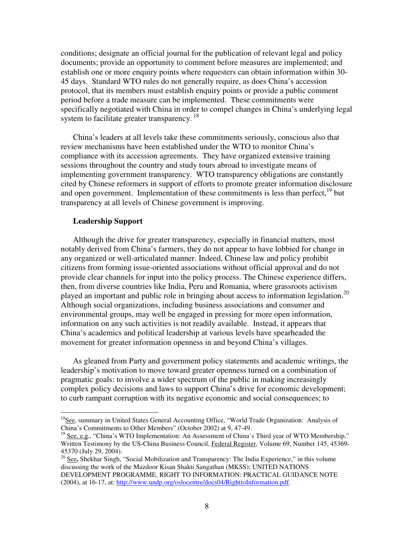conditions; designate an official journal for the publication of relevant legal and policy documents; provide an opportunity to comment before measures are implemented; and establish one or more enquiry points where requesters can obtain information within 30- 45 days. Standard WTO rules do not generally require, as does China's accession protocol, that its members must establish enquiry points or provide a public comment period before a trade measure can be implemented. These commitments were specifically negotiated with China in order to compel changes in China's underlying legal system to facilitate greater transparency.<sup>18</sup>

China's leaders at all levels take these commitments seriously, conscious also that review mechanisms have been established under the WTO to monitor China's compliance with its accession agreements. They have organized extensive training sessions throughout the country and study tours abroad to investigate means of implementing government transparency. WTO transparency obligations are constantly cited by Chinese reformers in support of efforts to promote greater information disclosure and open government. Implementation of these commitments is less than perfect,<sup>19</sup> but transparency at all levels of Chinese government is improving.

#### **Leadership Support**

Although the drive for greater transparency, especially in financial matters, most notably derived from China's farmers, they do not appear to have lobbied for change in any organized or well-articulated manner. Indeed, Chinese law and policy prohibit citizens from forming issue-oriented associations without official approval and do not provide clear channels for input into the policy process. The Chinese experience differs, then, from diverse countries like India, Peru and Romania, where grassroots activism played an important and public role in bringing about access to information legislation.<sup>20</sup> Although social organizations, including business associations and consumer and environmental groups, may well be engaged in pressing for more open information, information on any such activities is not readily available. Instead, it appears that China's academics and political leadership at various levels have spearheaded the movement for greater information openness in and beyond China's villages.

As gleaned from Party and government policy statements and academic writings, the leadership's motivation to move toward greater openness turned on a combination of pragmatic goals: to involve a wider spectrum of the public in making increasingly complex policy decisions and laws to support China's drive for economic development; to curb rampant corruption with its negative economic and social consequences; to

<sup>&</sup>lt;sup>18</sup>See, summary in United States General Accounting Office, "World Trade Organization: Analysis of China's Commitments to Other Members" (October 2002) at 9, 47-49.

<sup>&</sup>lt;sup>19</sup> See, e.g., "China's WTO Implementation: An Assessment of China's Third year of WTO Membership," Written Testimony by the US-China Business Council, Federal Register, Volume 69, Number 145, 45369- 45370 (July 29, 2004).

<sup>&</sup>lt;sup>20</sup> See, Shekhar Singh, "Social Mobilization and Transparency: The India Experience," in this volume discussing the work of the Mazdoor Kisan Shakti Sangathan (MKSS); UNITED NATIONS DEVELOPMENT PROGRAMME, RIGHT TO INFORMATION: PRACTICAL GUIDANCE NOTE (2004), at 16-17, at: http://www.undp.org/oslocentre/docs04/RighttoInformation.pdf.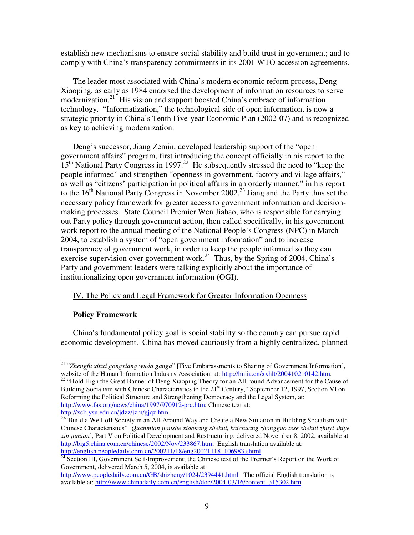establish new mechanisms to ensure social stability and build trust in government; and to comply with China's transparency commitments in its 2001 WTO accession agreements.

The leader most associated with China's modern economic reform process, Deng Xiaoping, as early as 1984 endorsed the development of information resources to serve modernization.<sup>21</sup> His vision and support boosted China's embrace of information technology. "Informatization," the technological side of open information, is now a strategic priority in China's Tenth Five-year Economic Plan (2002-07) and is recognized as key to achieving modernization.

Deng's successor, Jiang Zemin, developed leadership support of the "open government affairs" program, first introducing the concept officially in his report to the 15<sup>th</sup> National Party Congress in 1997.<sup>22</sup> He subsequently stressed the need to "keep the people informed" and strengthen "openness in government, factory and village affairs," as well as "citizens' participation in political affairs in an orderly manner," in his report to the  $16<sup>th</sup>$  National Party Congress in November 2002.<sup>23</sup> Jiang and the Party thus set the necessary policy framework for greater access to government information and decisionmaking processes. State Council Premier Wen Jiabao, who is responsible for carrying out Party policy through government action, then called specifically, in his government work report to the annual meeting of the National People's Congress (NPC) in March 2004, to establish a system of "open government information" and to increase transparency of government work, in order to keep the people informed so they can exercise supervision over government work.<sup>24</sup> Thus, by the Spring of 2004, China's Party and government leaders were talking explicitly about the importance of institutionalizing open government information (OGI).

#### IV. The Policy and Legal Framework for Greater Information Openness

#### **Policy Framework**

China's fundamental policy goal is social stability so the country can pursue rapid economic development. China has moved cautiously from a highly centralized, planned

website of the Hunan Infomration Industry Association, at: http://hniia.cn/xxhlt/200410210142.htm.<br><sup>22</sup> "Hold High the Great Banner of Deng Xiaoping Theory for an All-round Advancement for the Cause of Building Socialism with Chinese Characteristics to the 21<sup>st</sup> Century," September 12, 1997, Section VI on Reforming the Political Structure and Strengthening Democracy and the Legal System, at: http://www.fas.org/news/china/1997/970912-prc.htm; Chinese text at:

<sup>21</sup> "*Zhengfu xinxi gongxiang wuda ganga*" [Five Embarassments to Sharing of Government Information],

http://xcb.ysu.edu.cn/jdzz/jzm/gjqz.htm.<br><sup>23</sup>"Build a Well-off Society in an All-Around Way and Create a New Situation in Building Socialism with Chinese Characteristics" [*Quanmian jianshe xiaokang shehui, kaichuang zhongguo tese shehui zhuyi shiye xin jumian*], Part V on Political Development and Restructuring, delivered November 8, 2002, available at http://big5.china.com.cn/chinese/2002/Nov/233867.htm; English translation available at: http://english.peopledaily.com.cn/200211/18/eng20021118\_106983.shtml.

<sup>&</sup>lt;sup>24</sup> Section III, Government Self-Improvement; the Chinese text of the Premier's Report on the Work of Government, delivered March 5, 2004, is available at:

http://www.peopledaily.com.cn/GB/shizheng/1024/2394441.html. The official English translation is available at: http://www.chinadaily.com.cn/english/doc/2004-03/16/content\_315302.htm.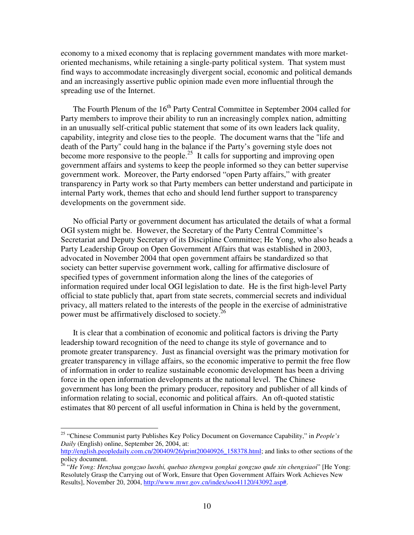economy to a mixed economy that is replacing government mandates with more marketoriented mechanisms, while retaining a single-party political system. That system must find ways to accommodate increasingly divergent social, economic and political demands and an increasingly assertive public opinion made even more influential through the spreading use of the Internet.

The Fourth Plenum of the 16<sup>th</sup> Party Central Committee in September 2004 called for Party members to improve their ability to run an increasingly complex nation, admitting in an unusually self-critical public statement that some of its own leaders lack quality, capability, integrity and close ties to the people. The document warns that the "life and death of the Party" could hang in the balance if the Party's governing style does not become more responsive to the people.<sup>25</sup> It calls for supporting and improving open government affairs and systems to keep the people informed so they can better supervise government work. Moreover, the Party endorsed "open Party affairs," with greater transparency in Party work so that Party members can better understand and participate in internal Party work, themes that echo and should lend further support to transparency developments on the government side.

No official Party or government document has articulated the details of what a formal OGI system might be. However, the Secretary of the Party Central Committee's Secretariat and Deputy Secretary of its Discipline Committee; He Yong, who also heads a Party Leadership Group on Open Government Affairs that was established in 2003, advocated in November 2004 that open government affairs be standardized so that society can better supervise government work, calling for affirmative disclosure of specified types of government information along the lines of the categories of information required under local OGI legislation to date. He is the first high-level Party official to state publicly that, apart from state secrets, commercial secrets and individual privacy, all matters related to the interests of the people in the exercise of administrative power must be affirmatively disclosed to society.<sup>26</sup>

It is clear that a combination of economic and political factors is driving the Party leadership toward recognition of the need to change its style of governance and to promote greater transparency. Just as financial oversight was the primary motivation for greater transparency in village affairs, so the economic imperative to permit the free flow of information in order to realize sustainable economic development has been a driving force in the open information developments at the national level. The Chinese government has long been the primary producer, repository and publisher of all kinds of information relating to social, economic and political affairs. An oft-quoted statistic estimates that 80 percent of all useful information in China is held by the government,

<sup>25</sup> "Chinese Communist party Publishes Key Policy Document on Governance Capability," in *People's Daily* (English) online, September 26, 2004, at:

http://english.peopledaily.com.cn/200409/26/print20040926\_158378.html; and links to other sections of the policy document. 26 "*He Yong: Henzhua gongzuo luoshi, quebao* z*hengwu gongkai gongzuo qude xin chengxiaoi*" [He Yong:

Resolutely Grasp the Carrying out of Work, Ensure that Open Government Affairs Work Achieves New Results], November 20, 2004, http://www.mwr.gov.cn/index/soo41120/43092.asp#.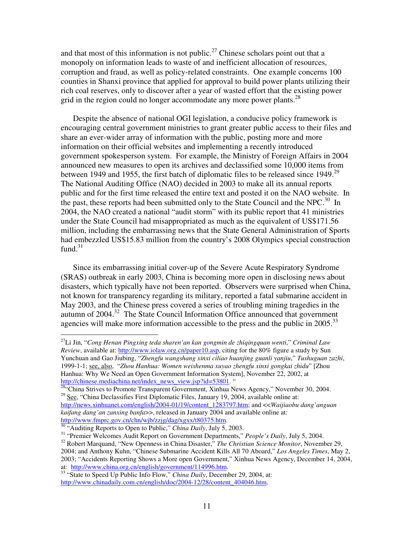and that most of this information is not public.<sup>27</sup> Chinese scholars point out that a monopoly on information leads to waste of and inefficient allocation of resources, corruption and fraud, as well as policy-related constraints. One example concerns 100 counties in Shanxi province that applied for approval to build power plants utilizing their rich coal reserves, only to discover after a year of wasted effort that the existing power grid in the region could no longer accommodate any more power plants.<sup>28</sup>

Despite the absence of national OGI legislation, a conducive policy framework is encouraging central government ministries to grant greater public access to their files and share an ever-wider array of information with the public, posting more and more information on their official websites and implementing a recently introduced government spokesperson system. For example, the Ministry of Foreign Affairs in 2004 announced new measures to open its archives and declassified some 10,000 items from between 1949 and 1955, the first batch of diplomatic files to be released since 1949.<sup>29</sup> The National Auditing Office (NAO) decided in 2003 to make all its annual reports public and for the first time released the entire text and posted it on the NAO website. In the past, these reports had been submitted only to the State Council and the NPC.<sup>30</sup> In 2004, the NAO created a national "audit storm" with its public report that 41 ministries under the State Council had misappropriated as much as the equivalent of US\$171.56 million, including the embarrassing news that the State General Administration of Sports had embezzled US\$15.83 million from the country's 2008 Olympics special construction fund.<sup>31</sup>

Since its embarrassing initial cover-up of the Severe Acute Respiratory Syndrome (SRAS) outbreak in early 2003, China is becoming more open in disclosing news about disasters, which typically have not been reported. Observers were surprised when China, not known for transparency regarding its military, reported a fatal submarine accident in May 2003, and the Chinese press covered a series of troubling mining tragedies in the autumn of 2004.<sup>32</sup> The State Council Information Office announced that government agencies will make more information accessible to the press and the public in  $2005$ .<sup>33</sup>

<sup>27</sup>Li Jin, "*Cong Henan Pingxing teda sharen'an kan gongmin de zhiqingquan wenti*," *Criminal Law Review*, available at: http://www.iolaw.org.cn/paper10.asp, citing for the 80% figure a study by Sun Yunchuan and Gao Jiubing, "*Zhengfu wangshang xinxi ciliao huanjing guanli yanjiu*," *Tushuguan zazhi*, 1999-1-1; see, also, "*Zhou Hanhua: Women weishenma xuyao zhengfu xinxi gongkai zhidu*" [Zhou Hanhua: Why We Need an Open Government Information System], November 22, 2002, at http://chinese.mediachina.net/index\_news\_view.jsp?id=53801. "

<sup>28</sup>"China Strives to Promote Transparent Government, Xinhua News Agency," November 30, 2004. <sup>29</sup> See, "China Declassifies First Diplomatic Files, January 19, 2004, available online at: http://news.xinhuanet.com/english/2004-01/19/content\_1283797.htm; and <<*Waijiaobu dang'anguan kaifang dang'an zanxing banfa*>>, released in January 2004 and available online at: http://www.fmprc.gov.cn/chn/wjb/zzjg/dag/xgxx/t80375.htm.

31 "Premier Welcomes Audit Report on Government Departments," *People's Daily*, July 5, 2004.

<sup>30</sup> "Auditing Reports to Open to Public," *China Daily*, July 5, 2003.

<sup>32</sup> Robert Marquand, "New Openness in China Disaster," *The Christian Science Monitor*, November 29, 2004; and Anthony Kuhn, "Chinese Submarine Accident Kills All 70 Aboard," *Los Angeles Times*, May 2, 2003; "Accidents Reporting Shows a More open Government," Xinhua News Agency, December 14, 2004, at: http://www.china.org.cn/english/government/114996.htm.

<sup>33</sup> "State to Speed Up Public Info Flow," *China Daily*, December 29, 2004, at: http://www.chinadaily.com.cn/english/doc/2004-12/28/content\_404046.htm.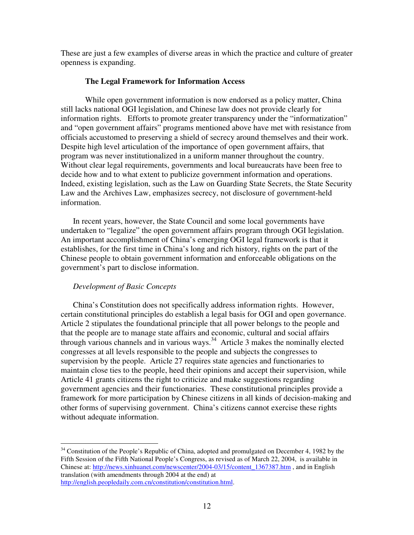These are just a few examples of diverse areas in which the practice and culture of greater openness is expanding.

## **The Legal Framework for Information Access**

While open government information is now endorsed as a policy matter, China still lacks national OGI legislation, and Chinese law does not provide clearly for information rights. Efforts to promote greater transparency under the "informatization" and "open government affairs" programs mentioned above have met with resistance from officials accustomed to preserving a shield of secrecy around themselves and their work. Despite high level articulation of the importance of open government affairs, that program was never institutionalized in a uniform manner throughout the country. Without clear legal requirements, governments and local bureaucrats have been free to decide how and to what extent to publicize government information and operations. Indeed, existing legislation, such as the Law on Guarding State Secrets, the State Security Law and the Archives Law, emphasizes secrecy, not disclosure of government-held information.

In recent years, however, the State Council and some local governments have undertaken to "legalize" the open government affairs program through OGI legislation. An important accomplishment of China's emerging OGI legal framework is that it establishes, for the first time in China's long and rich history, rights on the part of the Chinese people to obtain government information and enforceable obligations on the government's part to disclose information.

## *Development of Basic Concepts*

China's Constitution does not specifically address information rights. However, certain constitutional principles do establish a legal basis for OGI and open governance. Article 2 stipulates the foundational principle that all power belongs to the people and that the people are to manage state affairs and economic, cultural and social affairs through various channels and in various ways.<sup>34</sup> Article 3 makes the nominally elected congresses at all levels responsible to the people and subjects the congresses to supervision by the people. Article 27 requires state agencies and functionaries to maintain close ties to the people, heed their opinions and accept their supervision, while Article 41 grants citizens the right to criticize and make suggestions regarding government agencies and their functionaries. These constitutional principles provide a framework for more participation by Chinese citizens in all kinds of decision-making and other forms of supervising government. China's citizens cannot exercise these rights without adequate information.

<sup>&</sup>lt;sup>34</sup> Constitution of the People's Republic of China, adopted and promulgated on December 4, 1982 by the Fifth Session of the Fifth National People's Congress, as revised as of March 22, 2004, is available in Chinese at: http://news.xinhuanet.com/newscenter/2004-03/15/content\_1367387.htm , and in English translation (with amendments through 2004 at the end) at http://english.peopledaily.com.cn/constitution/constitution.html.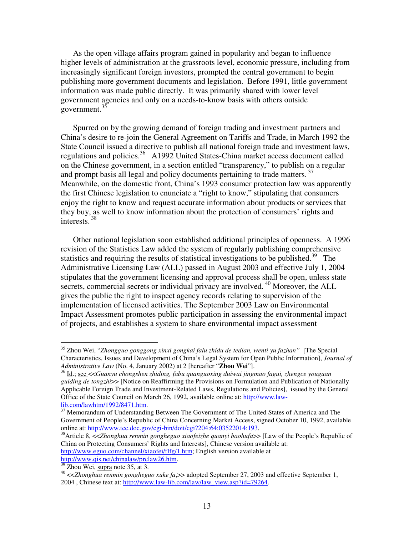As the open village affairs program gained in popularity and began to influence higher levels of administration at the grassroots level, economic pressure, including from increasingly significant foreign investors, prompted the central government to begin publishing more government documents and legislation. Before 1991, little government information was made public directly. It was primarily shared with lower level government agencies and only on a needs-to-know basis with others outside government.<sup>35</sup>

Spurred on by the growing demand of foreign trading and investment partners and China's desire to re-join the General Agreement on Tariffs and Trade, in March 1992 the State Council issued a directive to publish all national foreign trade and investment laws, regulations and policies.<sup>36</sup> A1992 United States-China market access document called on the Chinese government, in a section entitled "transparency," to publish on a regular and prompt basis all legal and policy documents pertaining to trade matters.<sup>37</sup> Meanwhile, on the domestic front, China's 1993 consumer protection law was apparently the first Chinese legislation to enunciate a "right to know," stipulating that consumers enjoy the right to know and request accurate information about products or services that they buy, as well to know information about the protection of consumers' rights and interests. 38

Other national legislation soon established additional principles of openness. A 1996 revision of the Statistics Law added the system of regularly publishing comprehensive statistics and requiring the results of statistical investigations to be published.<sup>39</sup> The Administrative Licensing Law (ALL) passed in August 2003 and effective July 1, 2004 stipulates that the government licensing and approval process shall be open, unless state secrets, commercial secrets or individual privacy are involved.<sup>40</sup> Moreover, the ALL gives the public the right to inspect agency records relating to supervision of the implementation of licensed activities. The September 2003 Law on Environmental Impact Assessment promotes public participation in assessing the environmental impact of projects, and establishes a system to share environmental impact assessment

<sup>38</sup>Article 8, <<*Zhonghua renmin gongheguo xiaofeizhe quanyi baohufa*>> [Law of the People's Republic of China on Protecting Consumers' Rights and Interests], Chinese version available at: http://www.eguo.com/channel/xiaofei/flfg/1.htm; English version available at http://www.qis.net/chinalaw/prclaw26.htm.

<sup>35</sup> Zhou Wei, "*Zhongguo gonggong xinxi gongkai falu zhidu de tedian, wenti yu fazhan"* [The Special Characteristics, Issues and Development of China's Legal System for Open Public Information], *Journal of*

Administrative Law (No. 4, January 2002) at 2 [hereafter "**Zhou Wei**"].<br><sup>36</sup> <u>Id</u>.; <u>see <</u><Guanyu chongshen zhiding, fabu quanguoxing duiwai jingmao fagui, zhengce youguan *guiding de tongzhi*>> [Notice on Reaffirming the Provisions on Formulation and Publication of Nationally Applicable Foreign Trade and Investment-Related Laws, Regulations and Policies], issued by the General Office of the State Council on March 26, 1992, available online at: http://www.lawlib.com/lawhtm/1992/8471.htm.

 $37$  Memorandum of Understanding Between The Government of The United States of America and The Government of People's Republic of China Concerning Market Access, signed October 10, 1992, available online at: http://www.tcc.doc.gov/cgi-bin/doit/cgi?204:64:03522014:193.

 $39$  Zhou Wei, supra note 35, at 3.

<sup>40</sup> <<*Zhonghua renmin gongheguo xuke fa*,>> adopted September 27, 2003 and effective September 1, 2004 , Chinese text at: http://www.law-lib.com/law/law\_view.asp?id=79264.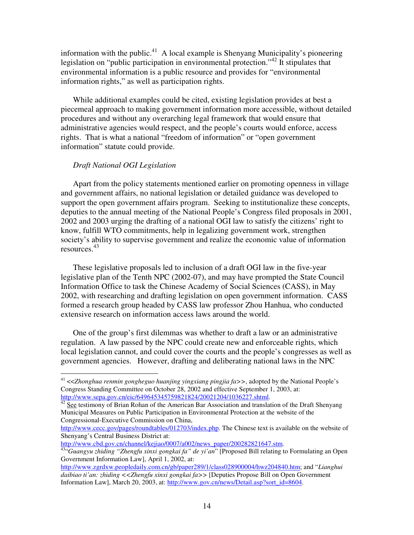information with the public.<sup>41</sup> A local example is Shenyang Municipality's pioneering legislation on "public participation in environmental protection."<sup>42</sup> It stipulates that environmental information is a public resource and provides for "environmental information rights," as well as participation rights.

While additional examples could be cited, existing legislation provides at best a piecemeal approach to making government information more accessible, without detailed procedures and without any overarching legal framework that would ensure that administrative agencies would respect, and the people's courts would enforce, access rights. That is what a national "freedom of information" or "open government information" statute could provide.

## *Draft National OGI Legislation*

Apart from the policy statements mentioned earlier on promoting openness in village and government affairs, no national legislation or detailed guidance was developed to support the open government affairs program. Seeking to institutionalize these concepts, deputies to the annual meeting of the National People's Congress filed proposals in 2001, 2002 and 2003 urging the drafting of a national OGI law to satisfy the citizens' right to know, fulfill WTO commitments, help in legalizing government work, strengthen society's ability to supervise government and realize the economic value of information resources. 43

These legislative proposals led to inclusion of a draft OGI law in the five-year legislative plan of the Tenth NPC (2002-07), and may have prompted the State Council Information Office to task the Chinese Academy of Social Sciences (CASS), in May 2002, with researching and drafting legislation on open government information. CASS formed a research group headed by CASS law professor Zhou Hanhua, who conducted extensive research on information access laws around the world.

One of the group's first dilemmas was whether to draft a law or an administrative regulation. A law passed by the NPC could create new and enforceable rights, which local legislation cannot, and could cover the courts and the people's congresses as well as government agencies. However, drafting and deliberating national laws in the NPC

http://www.cbd.gov.cn/channel/kejiao/0007/a002/news\_paper/200282821647.stm.

<sup>41</sup> <<*Zhonghua renmin gongheguo huanjing yingxiang pingjia fa>>*, adopted by the National People's Congress Standing Committee on October 28, 2002 and effective September 1, 2003, at: http://www.sepa.gov.cn/eic/649645345759821824/20021204/1036227.shtml.

<sup>&</sup>lt;sup>42</sup> See testimony of Brian Rohan of the American Bar Association and translation of the Draft Shenyang Municipal Measures on Public Participation in Environmental Protection at the website of the Congressional-Executive Commission on China,

http://www.cecc.gov/pages/roundtables/012703/index.php. The Chinese text is available on the website of Shenyang's Central Business District at:

<sup>43</sup> "*Guangyu zhiding "Zhengfu xinxi gongkai fa" de yi'an*" [Proposed Bill relating to Formulating an Open Government Information Law], April 1, 2002, at:

http://www.zgrdxw.peopledaily.com.cn/gb/paper289/1/class028900004/hwz204840.htm; and "*Lianghui daibiao ti'an: zhiding <<Zhengfu xinxi gongkai fa>>* [Deputies Propose Bill on Open Government Information Law], March 20, 2003, at: http://www.gov.cn/news/Detail.asp?sort\_id=8604.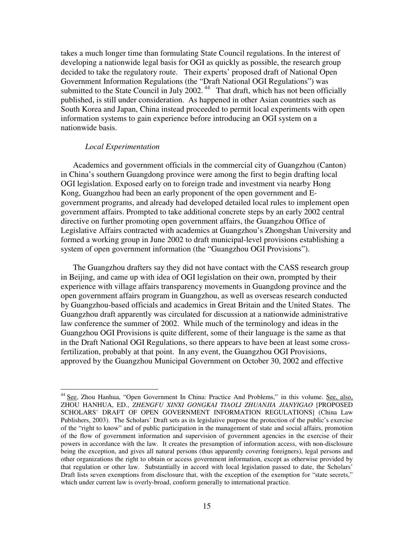takes a much longer time than formulating State Council regulations. In the interest of developing a nationwide legal basis for OGI as quickly as possible, the research group decided to take the regulatory route. Their experts' proposed draft of National Open Government Information Regulations (the "Draft National OGI Regulations") was submitted to the State Council in July 2002.<sup>44</sup> That draft, which has not been officially published, is still under consideration. As happened in other Asian countries such as South Korea and Japan, China instead proceeded to permit local experiments with open information systems to gain experience before introducing an OGI system on a nationwide basis.

#### *Local Experimentation*

Academics and government officials in the commercial city of Guangzhou (Canton) in China's southern Guangdong province were among the first to begin drafting local OGI legislation. Exposed early on to foreign trade and investment via nearby Hong Kong, Guangzhou had been an early proponent of the open government and Egovernment programs, and already had developed detailed local rules to implement open government affairs. Prompted to take additional concrete steps by an early 2002 central directive on further promoting open government affairs, the Guangzhou Office of Legislative Affairs contracted with academics at Guangzhou's Zhongshan University and formed a working group in June 2002 to draft municipal-level provisions establishing a system of open government information (the "Guangzhou OGI Provisions").

The Guangzhou drafters say they did not have contact with the CASS research group in Beijing, and came up with idea of OGI legislation on their own, prompted by their experience with village affairs transparency movements in Guangdong province and the open government affairs program in Guangzhou, as well as overseas research conducted by Guangzhou-based officials and academics in Great Britain and the United States. The Guangzhou draft apparently was circulated for discussion at a nationwide administrative law conference the summer of 2002. While much of the terminology and ideas in the Guangzhou OGI Provisions is quite different, some of their language is the same as that in the Draft National OGI Regulations, so there appears to have been at least some crossfertilization, probably at that point. In any event, the Guangzhou OGI Provisions, approved by the Guangzhou Municipal Government on October 30, 2002 and effective

<sup>&</sup>lt;sup>44</sup> See, Zhou Hanhua, "Open Government In China: Practice And Problems," in this volume. See, also, ZHOU HANHUA, ED., *ZHENGFU XINXI GONGKAI TIAOLI ZHUANJIA JIANYIGAO* [PROPOSED SCHOLARS' DRAFT OF OPEN GOVERNMENT INFORMATION REGULATIONS] (China Law Publishers, 2003). The Scholars' Draft sets as its legislative purpose the protection of the public's exercise of the "right to know" and of public participation in the management of state and social affairs, promotion of the flow of government information and supervision of government agencies in the exercise of their powers in accordance with the law. It creates the presumption of information access, with non-disclosure being the exception, and gives all natural persons (thus apparently covering foreigners), legal persons and other organizations the right to obtain or access government information, except as otherwise provided by that regulation or other law. Substantially in accord with local legislation passed to date, the Scholars' Draft lists seven exemptions from disclosure that, with the exception of the exemption for "state secrets," which under current law is overly-broad, conform generally to international practice.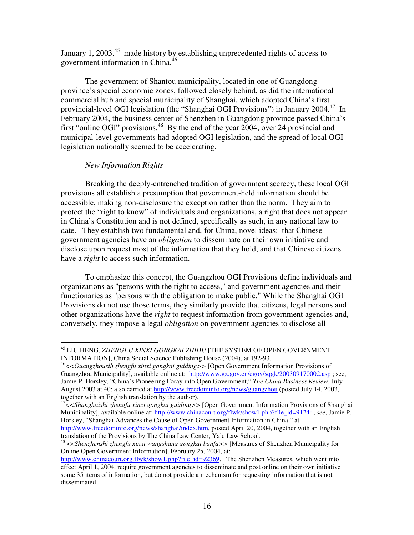January 1, 2003,<sup>45</sup> made history by establishing unprecedented rights of access to government information in China.<sup>46</sup>

The government of Shantou municipality, located in one of Guangdong province's special economic zones, followed closely behind, as did the international commercial hub and special municipality of Shanghai, which adopted China's first provincial-level OGI legislation (the "Shanghai OGI Provisions") in January 2004.<sup>47</sup> In February 2004, the business center of Shenzhen in Guangdong province passed China's first "online OGI" provisions.<sup>48</sup> By the end of the year 2004, over 24 provincial and municipal-level governments had adopted OGI legislation, and the spread of local OGI legislation nationally seemed to be accelerating.

## *New Information Rights*

Breaking the deeply-entrenched tradition of government secrecy, these local OGI provisions all establish a presumption that government-held information should be accessible, making non-disclosure the exception rather than the norm. They aim to protect the "right to know" of individuals and organizations, a right that does not appear in China's Constitution and is not defined, specifically as such, in any national law to date. They establish two fundamental and, for China, novel ideas: that Chinese government agencies have an *obligation* to disseminate on their own initiative and disclose upon request most of the information that they hold, and that Chinese citizens have a *right* to access such information.

To emphasize this concept, the Guangzhou OGI Provisions define individuals and organizations as "persons with the right to access," and government agencies and their functionaries as "persons with the obligation to make public." While the Shanghai OGI Provisions do not use those terms, they similarly provide that citizens, legal persons and other organizations have the *right* to request information from government agencies and, conversely, they impose a legal *obligation* on government agencies to disclose all

<sup>45</sup> LIU HENG*, ZHENGFU XINXI GONGKAI ZHIDU* [THE SYSTEM OF OPEN GOVERNMENT INFORMATION], China Social Science Publishing House (2004), at 192-93.

<sup>46</sup>*<<Guangzhousih zhengfu xinxi gongkai guiding>>* [Open Government Information Provisions of Guangzhou Municipality], available online at: http://www.gz.gov.cn/egov/sqgk/200309170002.asp; see, Jamie P. Horsley, "China's Pioneering Foray into Open Government," *The China Business Review*, July-August 2003 at 40; also carried at http://www.freedominfo.org/news/guangzhou (posted July 14, 2003, together with an English translation by the author).

<sup>47</sup>*<<Shanghaishi zhengfu xinxi gongkai guiding>>* [Open Government Information Provisions of Shanghai Municipality], available online at: http://www.chinacourt.org/flwk/show1.php?file\_id=91244; *see*, Jamie P. Horsley, "Shanghai Advances the Cause of Open Government Information in China," at http://www.freedominfo.org/news/shanghai/index.htm, posted April 20, 2004, together with an English

translation of the Provisions by The China Law Center, Yale Law School. 48 <<*Shenzhenshi zhengfu xinxi wangshang gongkai banfa>>* [Measures of Shenzhen Municipality for

Online Open Government Information], February 25, 2004, at:

http://www.chinacourt.org.flwk/show1.php?file\_id=92369. The Shenzhen Measures, which went into effect April 1, 2004, require government agencies to disseminate and post online on their own initiative some 35 items of information, but do not provide a mechanism for requesting information that is not disseminated.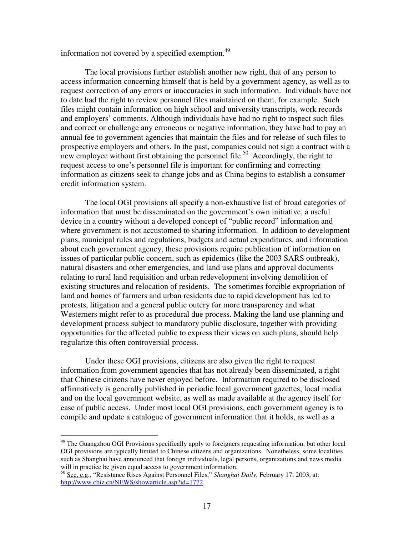information not covered by a specified exemption.<sup>49</sup>

The local provisions further establish another new right, that of any person to access information concerning himself that is held by a government agency, as well as to request correction of any errors or inaccuracies in such information. Individuals have not to date had the right to review personnel files maintained on them, for example. Such files might contain information on high school and university transcripts, work records and employers' comments. Although individuals have had no right to inspect such files and correct or challenge any erroneous or negative information, they have had to pay an annual fee to government agencies that maintain the files and for release of such files to prospective employers and others. In the past, companies could not sign a contract with a new employee without first obtaining the personnel file.<sup>50</sup> Accordingly, the right to request access to one's personnel file is important for confirming and correcting information as citizens seek to change jobs and as China begins to establish a consumer credit information system.

The local OGI provisions all specify a non-exhaustive list of broad categories of information that must be disseminated on the government's own initiative, a useful device in a country without a developed concept of "public record" information and where government is not accustomed to sharing information. In addition to development plans, municipal rules and regulations, budgets and actual expenditures, and information about each government agency, these provisions require publication of information on issues of particular public concern, such as epidemics (like the 2003 SARS outbreak), natural disasters and other emergencies, and land use plans and approval documents relating to rural land requisition and urban redevelopment involving demolition of existing structures and relocation of residents. The sometimes forcible expropriation of land and homes of farmers and urban residents due to rapid development has led to protests, litigation and a general public outcry for more transparency and what Westerners might refer to as procedural due process. Making the land use planning and development process subject to mandatory public disclosure, together with providing opportunities for the affected public to express their views on such plans, should help regularize this often controversial process.

Under these OGI provisions, citizens are also given the right to request information from government agencies that has not already been disseminated, a right that Chinese citizens have never enjoyed before. Information required to be disclosed affirmatively is generally published in periodic local government gazettes, local media and on the local government website, as well as made available at the agency itself for ease of public access. Under most local OGI provisions, each government agency is to compile and update a catalogue of government information that it holds, as well as a

<sup>&</sup>lt;sup>49</sup> The Guangzhou OGI Provisions specifically apply to foreigners requesting information, but other local OGI provisions are typically limited to Chinese citizens and organizations. Nonetheless, some localities such as Shanghai have announced that foreign individuals, legal persons, organizations and news media will in practice be given equal access to government information.

<sup>50</sup> See, e.g., "Resistance Rises Against Personnel Files," *Shanghai Daily*, February 17, 2003, at: http://www.cbiz.cn/NEWS/showarticle.asp?id=1772.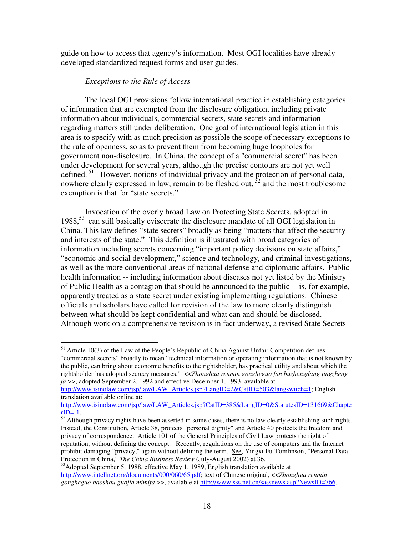guide on how to access that agency's information. Most OGI localities have already developed standardized request forms and user guides.

## *Exceptions to the Rule of Access*

The local OGI provisions follow international practice in establishing categories of information that are exempted from the disclosure obligation, including private information about individuals, commercial secrets, state secrets and information regarding matters still under deliberation. One goal of international legislation in this area is to specify with as much precision as possible the scope of necessary exceptions to the rule of openness, so as to prevent them from becoming huge loopholes for government non-disclosure. In China, the concept of a "commercial secret" has been under development for several years, although the precise contours are not yet well defined.<sup>51</sup> However, notions of individual privacy and the protection of personal data, nowhere clearly expressed in law, remain to be fleshed out,  $52$  and the most troublesome exemption is that for "state secrets."

Invocation of the overly broad Law on Protecting State Secrets, adopted in 1988,<sup>53</sup> can still basically eviscerate the disclosure mandate of all OGI legislation in China. This law defines "state secrets" broadly as being "matters that affect the security and interests of the state." This definition is illustrated with broad categories of information including secrets concerning "important policy decisions on state affairs," "economic and social development," science and technology, and criminal investigations, as well as the more conventional areas of national defense and diplomatic affairs. Public health information -- including information about diseases not yet listed by the Ministry of Public Health as a contagion that should be announced to the public -- is, for example, apparently treated as a state secret under existing implementing regulations. Chinese officials and scholars have called for revision of the law to more clearly distinguish between what should be kept confidential and what can and should be disclosed. Although work on a comprehensive revision is in fact underway, a revised State Secrets

<sup>&</sup>lt;sup>51</sup> Article 10(3) of the Law of the People's Republic of China Against Unfair Competition defines "commercial secrets" broadly to mean "technical information or operating information that is not known by the public, can bring about economic benefits to the rightsholder, has practical utility and about which the rightsholder has adopted secrecy measures." <<*Zhonghua renmin gongheguo fan buzhengdang jingzheng fa* >>, adopted September 2, 1992 and effective December 1, 1993, available at

http://www.isinolaw.com/jsp/law/LAW\_Articles.jsp?LangID=2&CatID=503&langswitch=1; English translation available online at:

http://www.isinolaw.com/jsp/law/LAW\_Articles.jsp?CatID=385&LangID=0&StatutesID=131669&Chapte <u>rID=-1</u>.

 $52$  Although privacy rights have been asserted in some cases, there is no law clearly establishing such rights. Instead, the Constitution, Article 38, protects "personal dignity" and Article 40 protects the freedom and privacy of correspondence. Article 101 of the General Principles of Civil Law protects the right of reputation, without defining the concept. Recently, regulations on the use of computers and the Internet prohibit damaging "privacy," again without defining the term. See, Yingxi Fu-Tomlinson, "Personal Data Protection in China," *The China Business Review* (July-August 2002) at 36.

<sup>53</sup>Adopted September 5, 1988, effective May 1, 1989, English translation available at http://www.intellnet.org/documents/000/060/65.pdf; text of Chinese original, <<*Zhonghua renmin gongheguo baoshou guojia mimifa* >>, available at http://www.sss.net.cn/sassnews.asp?NewsID=766.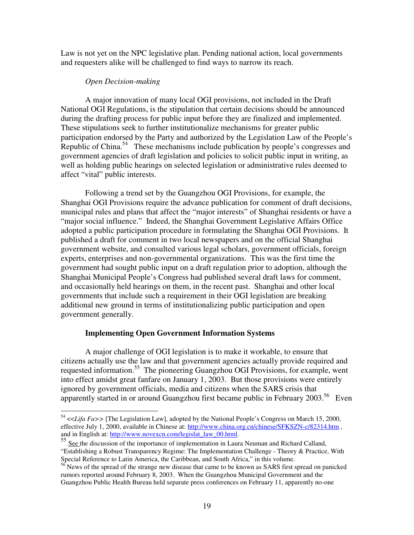Law is not yet on the NPC legislative plan. Pending national action, local governments and requesters alike will be challenged to find ways to narrow its reach.

#### *Open Decision-making*

A major innovation of many local OGI provisions, not included in the Draft National OGI Regulations, is the stipulation that certain decisions should be announced during the drafting process for public input before they are finalized and implemented. These stipulations seek to further institutionalize mechanisms for greater public participation endorsed by the Party and authorized by the Legislation Law of the People's Republic of China.<sup>54</sup> These mechanisms include publication by people's congresses and government agencies of draft legislation and policies to solicit public input in writing, as well as holding public hearings on selected legislation or administrative rules deemed to affect "vital" public interests.

Following a trend set by the Guangzhou OGI Provisions, for example, the Shanghai OGI Provisions require the advance publication for comment of draft decisions, municipal rules and plans that affect the "major interests" of Shanghai residents or have a "major social influence." Indeed, the Shanghai Government Legislative Affairs Office adopted a public participation procedure in formulating the Shanghai OGI Provisions. It published a draft for comment in two local newspapers and on the official Shanghai government website, and consulted various legal scholars, government officials, foreign experts, enterprises and non-governmental organizations. This was the first time the government had sought public input on a draft regulation prior to adoption, although the Shanghai Municipal People's Congress had published several draft laws for comment, and occasionally held hearings on them, in the recent past. Shanghai and other local governments that include such a requirement in their OGI legislation are breaking additional new ground in terms of institutionalizing public participation and open government generally.

#### **Implementing Open Government Information Systems**

A major challenge of OGI legislation is to make it workable, to ensure that citizens actually use the law and that government agencies actually provide required and requested information.<sup>55</sup> The pioneering Guangzhou OGI Provisions, for example, went into effect amidst great fanfare on January 1, 2003. But those provisions were entirely ignored by government officials, media and citizens when the SARS crisis that apparently started in or around Guangzhou first became public in February 2003.<sup>56</sup> Even

<sup>&</sup>lt;sup>54</sup> <<*Lifa Fa>*> [The Legislation Law], adopted by the National People's Congress on March 15, 2000, effective July 1, 2000, available in Chinese at: http://www.china.org.cn/chinese/SFKSZN-c/82314.htm, and in English at: http://www.novexcn.com/legislat\_law\_00.html.

<sup>&</sup>lt;sup>55</sup> See the discussion of the importance of implementation in Laura Neuman and Richard Calland, "Establishing a Robust Transparency Regime: The Implementation Challenge - Theory & Practice, With Special Reference to Latin America, the Caribbean, and South Africa," in this volume.

<sup>&</sup>lt;sup>56</sup> News of the spread of the strange new disease that came to be known as SARS first spread on panicked rumors reported around February 8, 2003. When the Guangzhou Municipal Government and the Guangzhou Public Health Bureau held separate press conferences on February 11, apparently no-one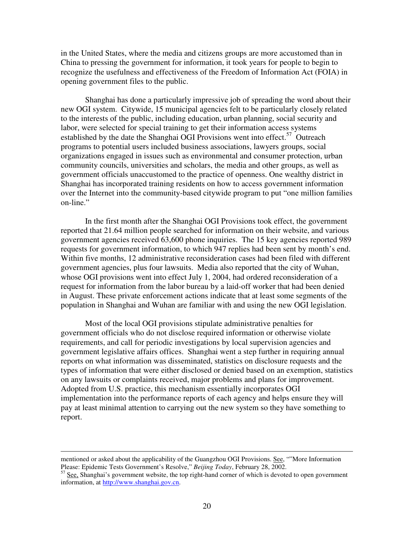in the United States, where the media and citizens groups are more accustomed than in China to pressing the government for information, it took years for people to begin to recognize the usefulness and effectiveness of the Freedom of Information Act (FOIA) in opening government files to the public.

Shanghai has done a particularly impressive job of spreading the word about their new OGI system. Citywide, 15 municipal agencies felt to be particularly closely related to the interests of the public, including education, urban planning, social security and labor, were selected for special training to get their information access systems established by the date the Shanghai OGI Provisions went into effect.<sup>57</sup> Outreach programs to potential users included business associations, lawyers groups, social organizations engaged in issues such as environmental and consumer protection, urban community councils, universities and scholars, the media and other groups, as well as government officials unaccustomed to the practice of openness. One wealthy district in Shanghai has incorporated training residents on how to access government information over the Internet into the community-based citywide program to put "one million families on-line."

In the first month after the Shanghai OGI Provisions took effect, the government reported that 21.64 million people searched for information on their website, and various government agencies received 63,600 phone inquiries. The 15 key agencies reported 989 requests for government information, to which 947 replies had been sent by month's end. Within five months, 12 administrative reconsideration cases had been filed with different government agencies, plus four lawsuits. Media also reported that the city of Wuhan, whose OGI provisions went into effect July 1, 2004, had ordered reconsideration of a request for information from the labor bureau by a laid-off worker that had been denied in August. These private enforcement actions indicate that at least some segments of the population in Shanghai and Wuhan are familiar with and using the new OGI legislation.

Most of the local OGI provisions stipulate administrative penalties for government officials who do not disclose required information or otherwise violate requirements, and call for periodic investigations by local supervision agencies and government legislative affairs offices. Shanghai went a step further in requiring annual reports on what information was disseminated, statistics on disclosure requests and the types of information that were either disclosed or denied based on an exemption, statistics on any lawsuits or complaints received, major problems and plans for improvement. Adopted from U.S. practice, this mechanism essentially incorporates OGI implementation into the performance reports of each agency and helps ensure they will pay at least minimal attention to carrying out the new system so they have something to report.

mentioned or asked about the applicability of the Guangzhou OGI Provisions. See, ""More Information Please: Epidemic Tests Government's Resolve," *Beijing Today*, February 28, 2002.<br><sup>57</sup> <u>See,</u> Shanghai's government website, the top right-hand corner of which is devoted to open government

information, at http://www.shanghai.gov.cn.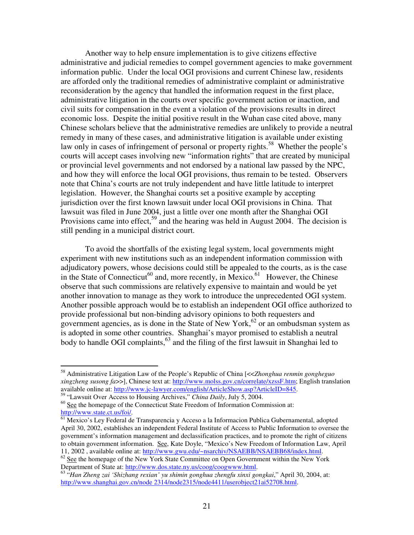Another way to help ensure implementation is to give citizens effective administrative and judicial remedies to compel government agencies to make government information public. Under the local OGI provisions and current Chinese law, residents are afforded only the traditional remedies of administrative complaint or administrative reconsideration by the agency that handled the information request in the first place, administrative litigation in the courts over specific government action or inaction, and civil suits for compensation in the event a violation of the provisions results in direct economic loss. Despite the initial positive result in the Wuhan case cited above, many Chinese scholars believe that the administrative remedies are unlikely to provide a neutral remedy in many of these cases, and administrative litigation is available under existing law only in cases of infringement of personal or property rights.<sup>58</sup> Whether the people's courts will accept cases involving new "information rights" that are created by municipal or provincial level governments and not endorsed by a national law passed by the NPC, and how they will enforce the local OGI provisions, thus remain to be tested. Observers note that China's courts are not truly independent and have little latitude to interpret legislation. However, the Shanghai courts set a positive example by accepting jurisdiction over the first known lawsuit under local OGI provisions in China. That lawsuit was filed in June 2004, just a little over one month after the Shanghai OGI Provisions came into effect,<sup>59</sup> and the hearing was held in August 2004. The decision is still pending in a municipal district court.

To avoid the shortfalls of the existing legal system, local governments might experiment with new institutions such as an independent information commission with adjudicatory powers, whose decisions could still be appealed to the courts, as is the case in the State of Connecticut<sup>60</sup> and, more recently, in Mexico.<sup>61</sup> However, the Chinese observe that such commissions are relatively expensive to maintain and would be yet another innovation to manage as they work to introduce the unprecedented OGI system. Another possible approach would be to establish an independent OGI office authorized to provide professional but non-binding advisory opinions to both requesters and government agencies, as is done in the State of New York,<sup>62</sup> or an ombudsman system as is adopted in some other countries. Shanghai's mayor promised to establish a neutral body to handle OGI complaints,<sup>63</sup> and the filing of the first lawsuit in Shanghai led to

<sup>58</sup> Administrative Litigation Law of the People's Republic of China [<<*Zhonghua renmin gongheguo xingzheng susong fa*>>], Chinese text at: http://www.molss.gov.cn/correlate/xzssF.htm; English translation available online at: http://www.jc-lawyer.com/english/ArticleShow.asp?ArticleID=845. 59 "Lawsuit Over Access to Housing Archives," *China Daily*, July 5, 2004.

<sup>&</sup>lt;sup>60</sup> See the homepage of the Connecticut State Freedom of Information Commission at: http://www.state.ct.us/foi/.

<sup>&</sup>lt;sup>61</sup> Mexico's Ley Federal de Transparencia y Acceso a la Informacion Publica Gubernamental, adopted April 30, 2002, establishes an independent Federal Institute of Access to Public Information to oversee the government's information management and declassification practices, and to promote the right of citizens to obtain government information. See, Kate Doyle, "Mexico's New Freedom of Information Law, April 11, 2002 , available online at: http://www.gwu.edu/~nsarchiv/NSAEBB/NSAEBB68/index.html.

 $62$  See the homepage of the New York State Committee on Open Government within the New York Department of State at: http://www.dos.state.ny.us/coog/coogwww.html.

<sup>63</sup> "*Han Zheng zai 'Shizhang rexian' yu shimin gonghua zhengfu xinxi gongkai*," April 30, 2004, at: http://www.shanghai.gov.cn/node 2314/node2315/node4411/userobject21ai52708.html.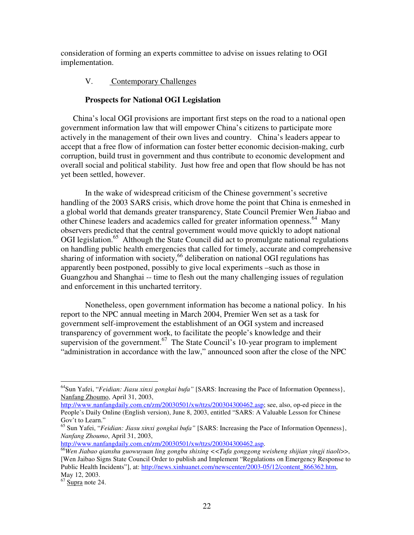consideration of forming an experts committee to advise on issues relating to OGI implementation.

## V. Contemporary Challenges

# **Prospects for National OGI Legislation**

China's local OGI provisions are important first steps on the road to a national open government information law that will empower China's citizens to participate more actively in the management of their own lives and country. China's leaders appear to accept that a free flow of information can foster better economic decision-making, curb corruption, build trust in government and thus contribute to economic development and overall social and political stability. Just how free and open that flow should be has not yet been settled, however.

In the wake of widespread criticism of the Chinese government's secretive handling of the 2003 SARS crisis, which drove home the point that China is enmeshed in a global world that demands greater transparency, State Council Premier Wen Jiabao and other Chinese leaders and academics called for greater information openness.<sup>64</sup> Many observers predicted that the central government would move quickly to adopt national OGI legislation.<sup>65</sup> Although the State Council did act to promulgate national regulations on handling public health emergencies that called for timely, accurate and comprehensive sharing of information with society,<sup>66</sup> deliberation on national OGI regulations has apparently been postponed, possibly to give local experiments –such as those in Guangzhou and Shanghai -- time to flesh out the many challenging issues of regulation and enforcement in this uncharted territory.

Nonetheless, open government information has become a national policy. In his report to the NPC annual meeting in March 2004, Premier Wen set as a task for government self-improvement the establishment of an OGI system and increased transparency of government work, to facilitate the people's knowledge and their supervision of the government.<sup>67</sup> The State Council's 10-year program to implement "administration in accordance with the law," announced soon after the close of the NPC

<sup>64</sup> Sun Yafei, "*Feidian: Jiasu xinxi gongkai bufa"* [SARS: Increasing the Pace of Information Openness}, Nanfang Zhoumo, April 31, 2003,

http://www.nanfangdaily.com.cn/zm/20030501/xw/ttzs/200304300462.asp; see, also, op-ed piece in the People's Daily Online (English version), June 8, 2003, entitled "SARS: A Valuable Lesson for Chinese Gov't to Learn."

<sup>65</sup> Sun Yafei, "*Feidian: Jiasu xinxi gongkai bufa"* [SARS: Increasing the Pace of Information Openness}, *Nanfang Zhoumo*, April 31, 2003,

http://www.nanfangdaily.com.cn/zm/20030501/xw/ttzs/200304300462.asp.

<sup>66</sup>*Wen Jiabao qianshu guowuyuan ling gongbu shixing <<Tufa gonggong weisheng shijian yingji tiaoli*>>, [Wen Jaibao Signs State Council Order to publish and Implement "Regulations on Emergency Response to Public Health Incidents"], at: http://news.xinhuanet.com/newscenter/2003-05/12/content\_866362.htm, May 12, 2003.

 $67 \underline{\text{Supra}}$  note 24.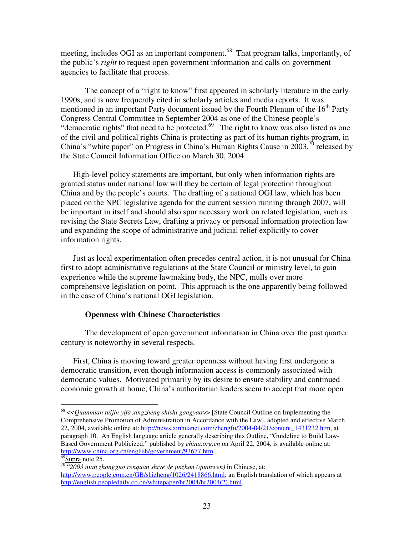meeting, includes OGI as an important component.<sup>68</sup> That program talks, importantly, of the public's *right* to request open government information and calls on government agencies to facilitate that process.

The concept of a "right to know" first appeared in scholarly literature in the early 1990s, and is now frequently cited in scholarly articles and media reports. It was mentioned in an important Party document issued by the Fourth Plenum of the 16<sup>th</sup> Party Congress Central Committee in September 2004 as one of the Chinese people's "democratic rights" that need to be protected.<sup>69</sup> The right to know was also listed as one of the civil and political rights China is protecting as part of its human rights program, in China's "white paper" on Progress in China's Human Rights Cause in  $2003$ ,<sup>70</sup> released by the State Council Information Office on March 30, 2004.

High-level policy statements are important, but only when information rights are granted status under national law will they be certain of legal protection throughout China and by the people's courts. The drafting of a national OGI law, which has been placed on the NPC legislative agenda for the current session running through 2007, will be important in itself and should also spur necessary work on related legislation, such as revising the State Secrets Law, drafting a privacy or personal information protection law and expanding the scope of administrative and judicial relief explicitly to cover information rights.

Just as local experimentation often precedes central action, it is not unusual for China first to adopt administrative regulations at the State Council or ministry level, to gain experience while the supreme lawmaking body, the NPC, mulls over more comprehensive legislation on point. This approach is the one apparently being followed in the case of China's national OGI legislation.

## **Openness with Chinese Characteristics**

The development of open government information in China over the past quarter century is noteworthy in several respects.

First, China is moving toward greater openness without having first undergone a democratic transition, even though information access is commonly associated with democratic values. Motivated primarily by its desire to ensure stability and continued economic growth at home, China's authoritarian leaders seem to accept that more open

<sup>68</sup> <<*Quanmian tuijin yifa xingzheng shishi gangyao*>> [State Council Outline on Implementing the Comprehensive Promotion of Administration in Accordance with the Law], adopted and effective March 22, 2004, available online at: http://news.xinhuanet.com/zhengfu/2004-04/21/content\_1431232.htm, at paragraph 10. An English language article generally describing this Outline, "Guideline to Build Law-Based Government Publicized," published by *china.org.cn* on April 22, 2004, is available online at: http://www.china.org.cn/english/government/93677.htm.

<sup>&</sup>lt;sup>69</sup>Supra note 25.

<sup>70</sup> "*2003 nian zhongguo renquan shiye de jinzhan (quanwen)* in Chinese, at: http://www.people.com.cn/GB/shizheng/1026/2418866.html; an English translation of which appears at http://english.peopledaily.co.cn/whitepaper/hr2004/hr2004(2).html.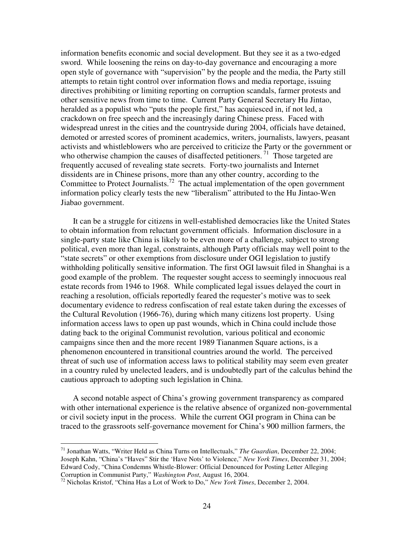information benefits economic and social development. But they see it as a two-edged sword. While loosening the reins on day-to-day governance and encouraging a more open style of governance with "supervision" by the people and the media, the Party still attempts to retain tight control over information flows and media reportage, issuing directives prohibiting or limiting reporting on corruption scandals, farmer protests and other sensitive news from time to time. Current Party General Secretary Hu Jintao, heralded as a populist who "puts the people first," has acquiesced in, if not led, a crackdown on free speech and the increasingly daring Chinese press. Faced with widespread unrest in the cities and the countryside during 2004, officials have detained, demoted or arrested scores of prominent academics, writers, journalists, lawyers, peasant activists and whistleblowers who are perceived to criticize the Party or the government or who otherwise champion the causes of disaffected petitioners.<sup>71</sup> Those targeted are frequently accused of revealing state secrets. Forty-two journalists and Internet dissidents are in Chinese prisons, more than any other country, according to the Committee to Protect Journalists.<sup>72</sup> The actual implementation of the open government information policy clearly tests the new "liberalism" attributed to the Hu Jintao-Wen Jiabao government.

It can be a struggle for citizens in well-established democracies like the United States to obtain information from reluctant government officials. Information disclosure in a single-party state like China is likely to be even more of a challenge, subject to strong political, even more than legal, constraints, although Party officials may well point to the "state secrets" or other exemptions from disclosure under OGI legislation to justify withholding politically sensitive information. The first OGI lawsuit filed in Shanghai is a good example of the problem. The requester sought access to seemingly innocuous real estate records from 1946 to 1968. While complicated legal issues delayed the court in reaching a resolution, officials reportedly feared the requester's motive was to seek documentary evidence to redress confiscation of real estate taken during the excesses of the Cultural Revolution (1966-76), during which many citizens lost property. Using information access laws to open up past wounds, which in China could include those dating back to the original Communist revolution, various political and economic campaigns since then and the more recent 1989 Tiananmen Square actions, is a phenomenon encountered in transitional countries around the world. The perceived threat of such use of information access laws to political stability may seem even greater in a country ruled by unelected leaders, and is undoubtedly part of the calculus behind the cautious approach to adopting such legislation in China.

A second notable aspect of China's growing government transparency as compared with other international experience is the relative absence of organized non-governmental or civil society input in the process. While the current OGI program in China can be traced to the grassroots self-governance movement for China's 900 million farmers, the

<sup>71</sup> Jonathan Watts, "Writer Held as China Turns on Intellectuals," *The Guardian*, December 22, 2004; Joseph Kahn, "China's "Haves" Stir the 'Have Nots' to Violence," *New York Times*, December 31, 2004; Edward Cody, "China Condemns Whistle-Blower: Official Denounced for Posting Letter Alleging Corruption in Communist Party," *Washington Post*, August 16, 2004.

<sup>72</sup> Nicholas Kristof, "China Has a Lot of Work to Do," *New York Times*, December 2, 2004.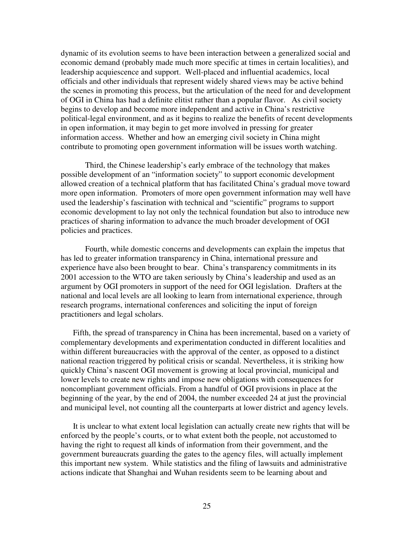dynamic of its evolution seems to have been interaction between a generalized social and economic demand (probably made much more specific at times in certain localities), and leadership acquiescence and support. Well-placed and influential academics, local officials and other individuals that represent widely shared views may be active behind the scenes in promoting this process, but the articulation of the need for and development of OGI in China has had a definite elitist rather than a popular flavor. As civil society begins to develop and become more independent and active in China's restrictive political-legal environment, and as it begins to realize the benefits of recent developments in open information, it may begin to get more involved in pressing for greater information access. Whether and how an emerging civil society in China might contribute to promoting open government information will be issues worth watching.

Third, the Chinese leadership's early embrace of the technology that makes possible development of an "information society" to support economic development allowed creation of a technical platform that has facilitated China's gradual move toward more open information. Promoters of more open government information may well have used the leadership's fascination with technical and "scientific" programs to support economic development to lay not only the technical foundation but also to introduce new practices of sharing information to advance the much broader development of OGI policies and practices.

Fourth, while domestic concerns and developments can explain the impetus that has led to greater information transparency in China, international pressure and experience have also been brought to bear. China's transparency commitments in its 2001 accession to the WTO are taken seriously by China's leadership and used as an argument by OGI promoters in support of the need for OGI legislation. Drafters at the national and local levels are all looking to learn from international experience, through research programs, international conferences and soliciting the input of foreign practitioners and legal scholars.

Fifth, the spread of transparency in China has been incremental, based on a variety of complementary developments and experimentation conducted in different localities and within different bureaucracies with the approval of the center, as opposed to a distinct national reaction triggered by political crisis or scandal. Nevertheless, it is striking how quickly China's nascent OGI movement is growing at local provincial, municipal and lower levels to create new rights and impose new obligations with consequences for noncompliant government officials. From a handful of OGI provisions in place at the beginning of the year, by the end of 2004, the number exceeded 24 at just the provincial and municipal level, not counting all the counterparts at lower district and agency levels.

It is unclear to what extent local legislation can actually create new rights that will be enforced by the people's courts, or to what extent both the people, not accustomed to having the right to request all kinds of information from their government, and the government bureaucrats guarding the gates to the agency files, will actually implement this important new system. While statistics and the filing of lawsuits and administrative actions indicate that Shanghai and Wuhan residents seem to be learning about and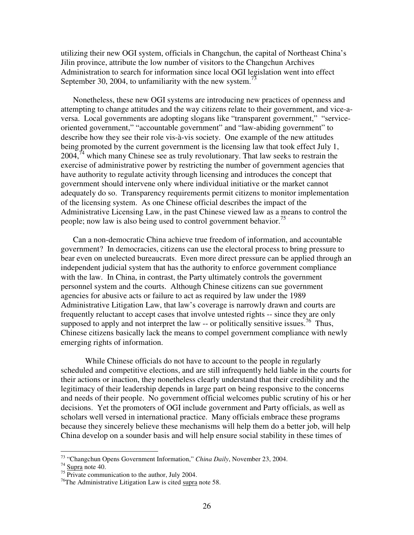utilizing their new OGI system, officials in Changchun, the capital of Northeast China's Jilin province, attribute the low number of visitors to the Changchun Archives Administration to search for information since local OGI legislation went into effect September 30, 2004, to unfamiliarity with the new system.<sup>73</sup>

Nonetheless, these new OGI systems are introducing new practices of openness and attempting to change attitudes and the way citizens relate to their government, and vice-aversa. Local governments are adopting slogans like "transparent government," "serviceoriented government," "accountable government" and "law-abiding government" to describe how they see their role vis-à-vis society. One example of the new attitudes being promoted by the current government is the licensing law that took effect July 1,  $2004<sup>74</sup>$  which many Chinese see as truly revolutionary. That law seeks to restrain the exercise of administrative power by restricting the number of government agencies that have authority to regulate activity through licensing and introduces the concept that government should intervene only where individual initiative or the market cannot adequately do so. Transparency requirements permit citizens to monitor implementation of the licensing system. As one Chinese official describes the impact of the Administrative Licensing Law, in the past Chinese viewed law as a means to control the people; now law is also being used to control government behavior.<sup>75</sup>

Can a non-democratic China achieve true freedom of information, and accountable government? In democracies, citizens can use the electoral process to bring pressure to bear even on unelected bureaucrats. Even more direct pressure can be applied through an independent judicial system that has the authority to enforce government compliance with the law. In China, in contrast, the Party ultimately controls the government personnel system and the courts. Although Chinese citizens can sue government agencies for abusive acts or failure to act as required by law under the 1989 Administrative Litigation Law, that law's coverage is narrowly drawn and courts are frequently reluctant to accept cases that involve untested rights -- since they are only supposed to apply and not interpret the law -- or politically sensitive issues.<sup>76</sup> Thus, Chinese citizens basically lack the means to compel government compliance with newly emerging rights of information.

While Chinese officials do not have to account to the people in regularly scheduled and competitive elections, and are still infrequently held liable in the courts for their actions or inaction, they nonetheless clearly understand that their credibility and the legitimacy of their leadership depends in large part on being responsive to the concerns and needs of their people. No government official welcomes public scrutiny of his or her decisions. Yet the promoters of OGI include government and Party officials, as well as scholars well versed in international practice. Many officials embrace these programs because they sincerely believe these mechanisms will help them do a better job, will help China develop on a sounder basis and will help ensure social stability in these times of

<sup>73</sup> "Changchun Opens Government Information," *China Daily*, November 23, 2004.

 $74$  Supra note 40.

 $75$  Private communication to the author, July 2004.

 $76$ The Administrative Litigation Law is cited supra note 58.